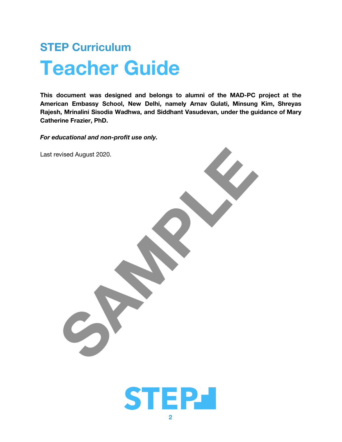# **STEP Curriculum Teacher Guide**

This document was designed and belongs to alumni of the MAD-PC project at the American Embassy School, New Delhi, namely Arnav Gulati, Minsung Kim, Shreyas **Rajesh, Mrinalini Sisodia Wadhwa, and Siddhant Vasudevan, under the guidance of Mary Catherine Frazier, PhD.** 

*For educational and non-profit use only.* 



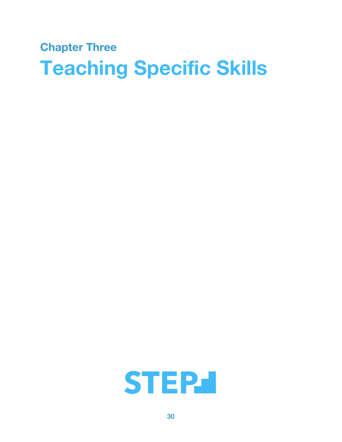# **Chapter Three Teaching Specific Skills**

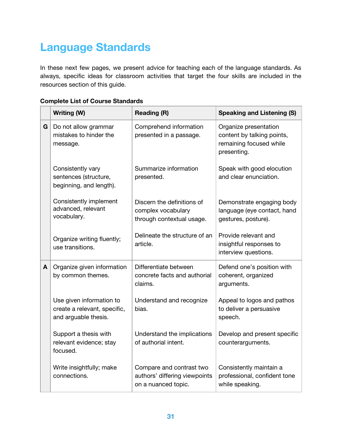# **Language Standards**

In these next few pages, we present advice for teaching each of the language standards. As always, specific ideas for classroom activities that target the four skills are included in the resources section of this guide.

| <b>Complete List of Course Standards</b> |  |
|------------------------------------------|--|
|------------------------------------------|--|

|   | Writing (W)                                                                      | <b>Reading (R)</b>                                                               | <b>Speaking and Listening (S)</b>                                                             |
|---|----------------------------------------------------------------------------------|----------------------------------------------------------------------------------|-----------------------------------------------------------------------------------------------|
| G | Do not allow grammar<br>mistakes to hinder the<br>message.                       | Comprehend information<br>presented in a passage.                                | Organize presentation<br>content by talking points,<br>remaining focused while<br>presenting. |
|   | Consistently vary<br>sentences (structure,<br>beginning, and length).            | Summarize information<br>presented.                                              | Speak with good elocution<br>and clear enunciation.                                           |
|   | Consistently implement<br>advanced, relevant<br>vocabulary.                      | Discern the definitions of<br>complex vocabulary<br>through contextual usage.    | Demonstrate engaging body<br>language (eye contact, hand<br>gestures, posture).               |
|   | Organize writing fluently;<br>use transitions.                                   | Delineate the structure of an<br>article.                                        | Provide relevant and<br>insightful responses to<br>interview questions.                       |
| A | Organize given information<br>by common themes.                                  | Differentiate between<br>concrete facts and authorial<br>claims.                 | Defend one's position with<br>coherent, organized<br>arguments.                               |
|   | Use given information to<br>create a relevant, specific,<br>and arguable thesis. | Understand and recognize<br>bias.                                                | Appeal to logos and pathos<br>to deliver a persuasive<br>speech.                              |
|   | Support a thesis with<br>relevant evidence; stay<br>focused.                     | Understand the implications<br>of authorial intent.                              | Develop and present specific<br>counterarguments.                                             |
|   | Write insightfully; make<br>connections.                                         | Compare and contrast two<br>authors' differing viewpoints<br>on a nuanced topic. | Consistently maintain a<br>professional, confident tone<br>while speaking.                    |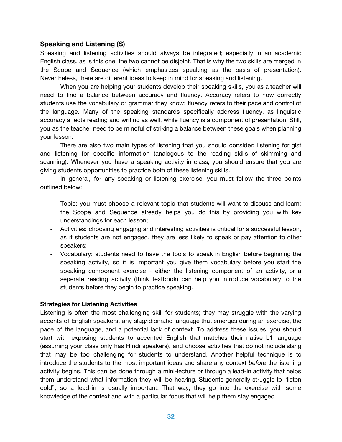# **Speaking and Listening (S)**

Speaking and listening activities should always be integrated; especially in an academic English class, as is this one, the two cannot be disjoint. That is why the two skills are merged in the Scope and Sequence (which emphasizes speaking as the basis of presentation). Nevertheless, there are different ideas to keep in mind for speaking and listening.

When you are helping your students develop their speaking skills, you as a teacher will need to find a balance between accuracy and fluency. Accuracy refers to how correctly students use the vocabulary or grammar they know; fluency refers to their pace and control of the language. Many of the speaking standards specifically address fluency, as linguistic accuracy affects reading and writing as well, while fluency is a component of presentation. Still, you as the teacher need to be mindful of striking a balance between these goals when planning your lesson.

There are also two main types of listening that you should consider: listening for gist and listening for specific information (analogous to the reading skills of skimming and scanning). Whenever you have a speaking activity in class, you should ensure that you are giving students opportunities to practice both of these listening skills.

In general, for any speaking or listening exercise, you must follow the three points outlined below:

- Topic: you must choose a relevant topic that students will want to discuss and learn: the Scope and Sequence already helps you do this by providing you with key understandings for each lesson;
- Activities: choosing engaging and interesting activities is critical for a successful lesson, as if students are not engaged, they are less likely to speak or pay attention to other speakers;
- Vocabulary: students need to have the tools to speak in English before beginning the speaking activity, so it is important you give them vocabulary before you start the speaking component exercise - either the listening component of an activity, or a seperate reading activity (think textbook) can help you introduce vocabulary to the students before they begin to practice speaking.

# **Strategies for Listening Activities**

Listening is often the most challenging skill for students; they may struggle with the varying accents of English speakers, any slag/idiomatic language that emerges during an exercise, the pace of the language, and a potential lack of context. To address these issues, you should start with exposing students to accented English that matches their native L1 language (assuming your class only has Hindi speakers), and choose activities that do not include slang that may be too challenging for students to understand. Another helpful technique is to introduce the students to the most important ideas and share any context *before* the listening activity begins. This can be done through a mini-lecture or through a lead-in activity that helps them understand what information they will be hearing. Students generally struggle to "listen cold", so a lead-in is usually important. That way, they go into the exercise with some knowledge of the context and with a particular focus that will help them stay engaged.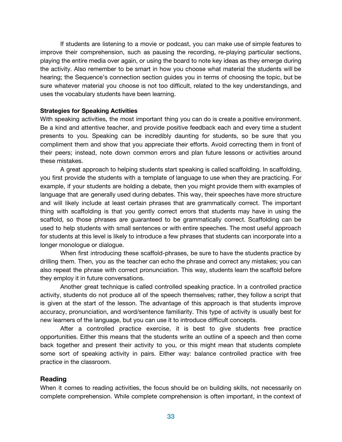If students are listening to a movie or podcast, you can make use of simple features to improve their comprehension, such as pausing the recording, re-playing particular sections, playing the entire media over again, or using the board to note key ideas as they emerge during the activity. Also remember to be smart in how you choose what material the students will be hearing; the Sequence's connection section guides you in terms of choosing the topic, but be sure whatever material you choose is not too difficult, related to the key understandings, and uses the vocabulary students have been learning.

### **Strategies for Speaking Activities**

With speaking activities, the most important thing you can do is create a positive environment. Be a kind and attentive teacher, and provide positive feedback each and every time a student presents to you. Speaking can be incredibly daunting for students, so be sure that you compliment them and show that you appreciate their efforts. Avoid correcting them in front of their peers; instead, note down common errors and plan future lessons or activities around these mistakes.

A great approach to helping students start speaking is called scaffolding. In scaffolding, you first provide the students with a template of language to use when they are practicing. For example, if your students are holding a debate, then you might provide them with examples of language that are generally used during debates. This way, their speeches have more structure and will likely include at least certain phrases that are grammatically correct. The important thing with scaffolding is that you gently correct errors that students may have in using the scaffold, so those phrases are guaranteed to be grammatically correct. Scaffolding can be used to help students with small sentences or with entire speeches. The most useful approach for students at this level is likely to introduce a few phrases that students can incorporate into a longer monologue or dialogue.

When first introducing these scaffold-phrases, be sure to have the students practice by drilling them. Then, you as the teacher can echo the phrase and correct any mistakes; you can also repeat the phrase with correct pronunciation. This way, students learn the scaffold before they employ it in future conversations.

Another great technique is called controlled speaking practice. In a controlled practice activity, students do not produce all of the speech themselves; rather, they follow a script that is given at the start of the lesson. The advantage of this approach is that students improve accuracy, pronunciation, and word/sentence familiarity. This type of activity is usually best for new learners of the language, but you can use it to introduce difficult concepts.

After a controlled practice exercise, it is best to give students free practice opportunities. Either this means that the students write an outline of a speech and then come back together and present their activity to you, or this might mean that students complete some sort of speaking activity in pairs. Either way: balance controlled practice with free practice in the classroom.

# **Reading**

When it comes to reading activities, the focus should be on building skills, not necessarily on complete comprehension. While complete comprehension is often important, in the context of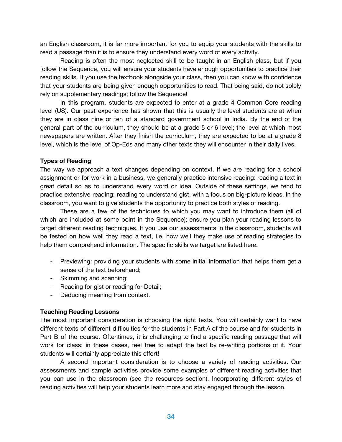an English classroom, it is far more important for you to equip your students with the skills to read a passage than it is to ensure they understand every word of every activity.

Reading is often the most neglected skill to be taught in an English class, but if you follow the Sequence, you will ensure your students have enough opportunities to practice their reading skills. If you use the textbook alongside your class, then you can know with confidence that your students are being given enough opportunities to read. That being said, do not solely rely on supplementary readings; follow the Sequence!

In this program, students are expected to enter at a grade 4 Common Core reading level (US). Our past experience has shown that this is usually the level students are at when they are in class nine or ten of a standard government school in India. By the end of the general part of the curriculum, they should be at a grade 5 or 6 level; the level at which most newspapers are written. After they finish the curriculum, they are expected to be at a grade 8 level, which is the level of Op-Eds and many other texts they will encounter in their daily lives.

# **Types of Reading**

The way we approach a text changes depending on context. If we are reading for a school assignment or for work in a business, we generally practice intensive reading: reading a text in great detail so as to understand every word or idea. Outside of these settings, we tend to practice extensive reading: reading to understand gist, with a focus on big-picture ideas. In the classroom, you want to give students the opportunity to practice both styles of reading.

These are a few of the techniques to which you may want to introduce them (all of which are included at some point in the Sequence); ensure you plan your reading lessons to target different reading techniques. If you use our assessments in the classroom, students will be tested on how well they read a text, i.e. how well they make use of reading strategies to help them comprehend information. The specific skills we target are listed here.

- Previewing: providing your students with some initial information that helps them get a sense of the text beforehand;
- Skimming and scanning;
- Reading for gist or reading for Detail;
- Deducing meaning from context.

# **Teaching Reading Lessons**

The most important consideration is choosing the right texts. You will certainly want to have different texts of different difficulties for the students in Part A of the course and for students in Part B of the course. Oftentimes, it is challenging to find a specific reading passage that will work for class; in these cases, feel free to adapt the text by re-writing portions of it. Your students will certainly appreciate this effort!

A second important consideration is to choose a variety of reading activities. Our assessments and sample activities provide some examples of different reading activities that you can use in the classroom (see the resources section). Incorporating different styles of reading activities will help your students learn more and stay engaged through the lesson.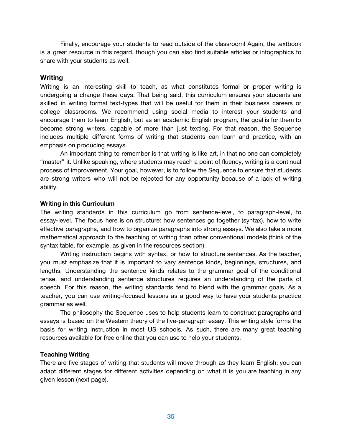Finally, encourage your students to read outside of the classroom! Again, the textbook is a great resource in this regard, though you can also find suitable articles or infographics to share with your students as well.

# **Writing**

Writing is an interesting skill to teach, as what constitutes formal or proper writing is undergoing a change these days. That being said, this curriculum ensures your students are skilled in writing formal text-types that will be useful for them in their business careers or college classrooms. We recommend using social media to interest your students and encourage them to learn English, but as an academic English program, the goal is for them to become strong writers, capable of more than just texting. For that reason, the Sequence includes multiple different forms of writing that students can learn and practice, with an emphasis on producing essays.

An important thing to remember is that writing is like art, in that no one can completely "master" it. Unlike speaking, where students may reach a point of fluency, writing is a continual process of improvement. Your goal, however, is to follow the Sequence to ensure that students are strong writers who will not be rejected for any opportunity because of a lack of writing ability.

# **Writing in this Curriculum**

The writing standards in this curriculum go from sentence-level, to paragraph-level, to essay-level. The focus here is on structure: how sentences go together (syntax), how to write effective paragraphs, and how to organize paragraphs into strong essays. We also take a more mathematical approach to the teaching of writing than other conventional models (think of the syntax table, for example, as given in the resources section).

Writing instruction begins with syntax, or how to structure sentences. As the teacher, you must emphasize that it is important to vary sentence kinds, beginnings, structures, and lengths. Understanding the sentence kinds relates to the grammar goal of the conditional tense, and understanding sentence structures requires an understanding of the parts of speech. For this reason, the writing standards tend to blend with the grammar goals. As a teacher, you can use writing-focused lessons as a good way to have your students practice grammar as well.

The philosophy the Sequence uses to help students learn to construct paragraphs and essays is based on the Western theory of the five-paragraph essay. This writing style forms the basis for writing instruction in most US schools. As such, there are many great teaching resources available for free online that you can use to help your students.

# **Teaching Writing**

There are five stages of writing that students will move through as they learn English; you can adapt different stages for different activities depending on what it is you are teaching in any given lesson (next page).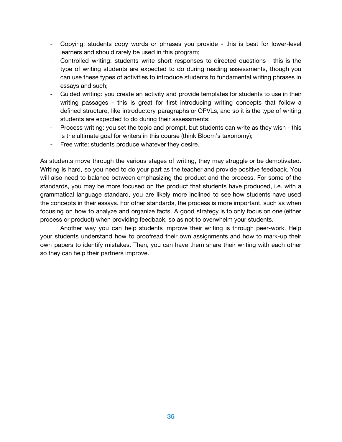- Copying: students copy words or phrases you provide this is best for lower-level learners and should rarely be used in this program;
- Controlled writing: students write short responses to directed questions this is the type of writing students are expected to do during reading assessments, though you can use these types of activities to introduce students to fundamental writing phrases in essays and such;
- Guided writing: you create an activity and provide templates for students to use in their writing passages - this is great for first introducing writing concepts that follow a defined structure, like introductory paragraphs or OPVLs, and so it is the type of writing students are expected to do during their assessments;
- Process writing: you set the topic and prompt, but students can write as they wish this is the ultimate goal for writers in this course (think Bloom's taxonomy);
- Free write: students produce whatever they desire.

As students move through the various stages of writing, they may struggle or be demotivated. Writing is hard, so you need to do your part as the teacher and provide positive feedback. You will also need to balance between emphasizing the product and the process. For some of the standards, you may be more focused on the product that students have produced, i.e. with a grammatical language standard, you are likely more inclined to see how students have used the concepts in their essays. For other standards, the process is more important, such as when focusing on how to analyze and organize facts. A good strategy is to only focus on one (either process or product) when providing feedback, so as not to overwhelm your students.

Another way you can help students improve their writing is through peer-work. Help your students understand how to proofread their own assignments and how to mark-up their own papers to identify mistakes. Then, you can have them share their writing with each other so they can help their partners improve.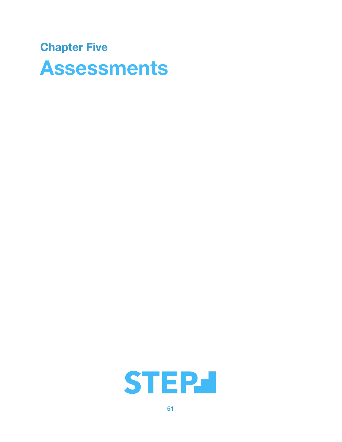# **Chapter Five Assessments**

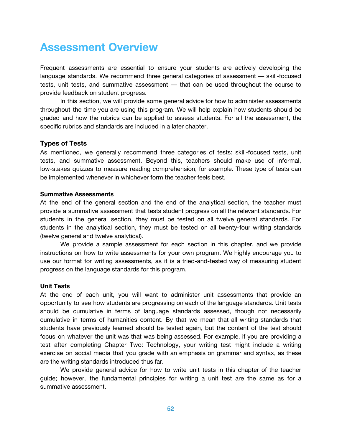# **Assessment Overview**

Frequent assessments are essential to ensure your students are actively developing the language standards. We recommend three general categories of assessment –– skill-focused tests, unit tests, and summative assessment — that can be used throughout the course to provide feedback on student progress.

In this section, we will provide some general advice for how to administer assessments throughout the time you are using this program. We will help explain how students should be graded and how the rubrics can be applied to assess students. For all the assessment, the specific rubrics and standards are included in a later chapter.

# **Types of Tests**

As mentioned, we generally recommend three categories of tests: skill-focused tests, unit tests, and summative assessment. Beyond this, teachers should make use of informal, low-stakes quizzes to measure reading comprehension, for example. These type of tests can be implemented whenever in whichever form the teacher feels best.

#### **Summative Assessments**

At the end of the general section and the end of the analytical section, the teacher must provide a summative assessment that tests student progress on all the relevant standards. For students in the general section, they must be tested on all twelve general standards. For students in the analytical section, they must be tested on all twenty-four writing standards (twelve general and twelve analytical).

We provide a sample assessment for each section in this chapter, and we provide instructions on how to write assessments for your own program. We highly encourage you to use our format for writing assessments, as it is a tried-and-tested way of measuring student progress on the language standards for this program.

#### **Unit Tests**

At the end of each unit, you will want to administer unit assessments that provide an opportunity to see how students are progressing on each of the language standards. Unit tests should be cumulative in terms of language standards assessed, though not necessarily cumulative in terms of humanities content. By that we mean that all writing standards that students have previously learned should be tested again, but the content of the test should focus on whatever the unit was that was being assessed. For example, if you are providing a test after completing Chapter Two: Technology, your writing test might include a writing exercise on social media that you grade with an emphasis on grammar and syntax, as these are the writing standards introduced thus far.

We provide general advice for how to write unit tests in this chapter of the teacher guide; however, the fundamental principles for writing a unit test are the same as for a summative assessment.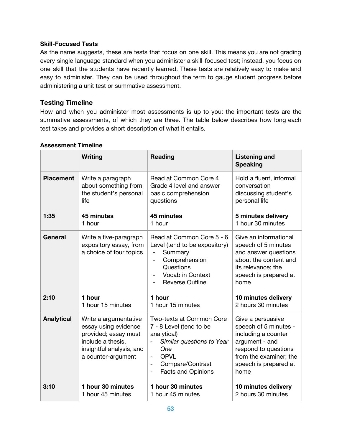# **Skill-Focused Tests**

As the name suggests, these are tests that focus on one skill. This means you are not grading every single language standard when you administer a skill-focused test; instead, you focus on one skill that the students have recently learned. These tests are relatively easy to make and easy to administer. They can be used throughout the term to gauge student progress before administering a unit test or summative assessment.

# **Testing Timeline**

How and when you administer most assessments is up to you: the important tests are the summative assessments, of which they are three. The table below describes how long each test takes and provides a short description of what it entails.

|                   | Writing                                                                                                                                      | <b>Reading</b>                                                                                                                                                                                                                 | <b>Listening and</b><br><b>Speaking</b>                                                                                                                                |
|-------------------|----------------------------------------------------------------------------------------------------------------------------------------------|--------------------------------------------------------------------------------------------------------------------------------------------------------------------------------------------------------------------------------|------------------------------------------------------------------------------------------------------------------------------------------------------------------------|
| <b>Placement</b>  | Write a paragraph                                                                                                                            | Read at Common Core 4                                                                                                                                                                                                          | Hold a fluent, informal                                                                                                                                                |
|                   | about something from                                                                                                                         | Grade 4 level and answer                                                                                                                                                                                                       | conversation                                                                                                                                                           |
|                   | the student's personal                                                                                                                       | basic comprehension                                                                                                                                                                                                            | discussing student's                                                                                                                                                   |
|                   | life                                                                                                                                         | questions                                                                                                                                                                                                                      | personal life                                                                                                                                                          |
| 1:35              | 45 minutes                                                                                                                                   | 45 minutes                                                                                                                                                                                                                     | 5 minutes delivery                                                                                                                                                     |
|                   | 1 hour                                                                                                                                       | 1 hour                                                                                                                                                                                                                         | 1 hour 30 minutes                                                                                                                                                      |
| <b>General</b>    | Write a five-paragraph<br>expository essay, from<br>a choice of four topics                                                                  | Read at Common Core 5 - 6<br>Level (tend to be expository)<br>Summary<br>Comprehension<br>Questions<br><b>Vocab in Context</b><br>$\overline{a}$<br><b>Reverse Outline</b>                                                     | Give an informational<br>speech of 5 minutes<br>and answer questions<br>about the content and<br>its relevance; the<br>speech is prepared at<br>home                   |
| 2:10              | 1 hour                                                                                                                                       | 1 hour                                                                                                                                                                                                                         | 10 minutes delivery                                                                                                                                                    |
|                   | 1 hour 15 minutes                                                                                                                            | 1 hour 15 minutes                                                                                                                                                                                                              | 2 hours 30 minutes                                                                                                                                                     |
| <b>Analytical</b> | Write a argumentative<br>essay using evidence<br>provided; essay must<br>include a thesis,<br>insightful analysis, and<br>a counter-argument | Two-texts at Common Core<br>7 - 8 Level (tend to be<br>analytical)<br>Similar questions to Year<br>One<br><b>OPVL</b><br>$\overline{\phantom{a}}$<br>Compare/Contrast<br>$\overline{\phantom{a}}$<br><b>Facts and Opinions</b> | Give a persuasive<br>speech of 5 minutes -<br>including a counter<br>argument - and<br>respond to questions<br>from the examiner; the<br>speech is prepared at<br>home |
| 3:10              | 1 hour 30 minutes                                                                                                                            | 1 hour 30 minutes                                                                                                                                                                                                              | 10 minutes delivery                                                                                                                                                    |
|                   | 1 hour 45 minutes                                                                                                                            | 1 hour 45 minutes                                                                                                                                                                                                              | 2 hours 30 minutes                                                                                                                                                     |

# **Assessment Timeline**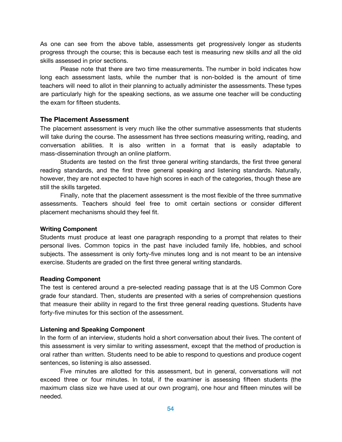As one can see from the above table, assessments get progressively longer as students progress through the course; this is because each test is measuring new skills *and* all the old skills assessed in prior sections.

Please note that there are two time measurements. The number in bold indicates how long each assessment lasts, while the number that is non-bolded is the amount of time teachers will need to allot in their planning to actually administer the assessments. These types are particularly high for the speaking sections, as we assume one teacher will be conducting the exam for fifteen students.

### **The Placement Assessment**

The placement assessment is very much like the other summative assessments that students will take during the course. The assessment has three sections measuring writing, reading, and conversation abilities. It is also written in a format that is easily adaptable to mass-dissemination through an online platform.

Students are tested on the first three general writing standards, the first three general reading standards, and the first three general speaking and listening standards. Naturally, however, they are not expected to have high scores in each of the categories, though these are still the skills targeted.

Finally, note that the placement assessment is the most flexible of the three summative assessments. Teachers should feel free to omit certain sections or consider different placement mechanisms should they feel fit.

#### **Writing Component**

Students must produce at least one paragraph responding to a prompt that relates to their personal lives. Common topics in the past have included family life, hobbies, and school subjects. The assessment is only forty-five minutes long and is not meant to be an intensive exercise. Students are graded on the first three general writing standards.

#### **Reading Component**

The test is centered around a pre-selected reading passage that is at the US Common Core grade four standard. Then, students are presented with a series of comprehension questions that measure their ability in regard to the first three general reading questions. Students have forty-five minutes for this section of the assessment.

#### **Listening and Speaking Component**

In the form of an interview, students hold a short conversation about their lives. The content of this assessment is very similar to writing assessment, except that the method of production is oral rather than written. Students need to be able to respond to questions and produce cogent sentences, so listening is also assessed.

Five minutes are allotted for this assessment, but in general, conversations will not exceed three or four minutes. In total, if the examiner is assessing fifteen students (the maximum class size we have used at our own program), one hour and fifteen minutes will be needed.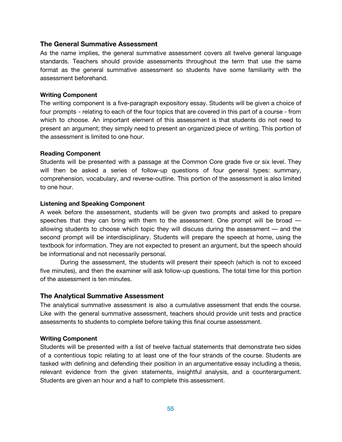#### **The General Summative Assessment**

As the name implies, the general summative assessment covers all twelve general language standards. Teachers should provide assessments throughout the term that use the same format as the general summative assessment so students have some familiarity with the assessment beforehand.

#### **Writing Component**

The writing component is a five-paragraph expository essay. Students will be given a choice of four prompts - relating to each of the four topics that are covered in this part of a course - from which to choose. An important element of this assessment is that students do not need to present an argument; they simply need to present an organized piece of writing. This portion of the assessment is limited to one hour.

### **Reading Component**

Students will be presented with a passage at the Common Core grade five or six level. They will then be asked a series of follow-up questions of four general types: summary, comprehension, vocabulary, and reverse-outline. This portion of the assessment is also limited to one hour.

### **Listening and Speaking Component**

A week before the assessment, students will be given two prompts and asked to prepare speeches that they can bring with them to the assessment. One prompt will be broad – allowing students to choose which topic they will discuss during the assessment –– and the second prompt will be interdisciplinary. Students will prepare the speech at home, using the textbook for information. They are not expected to present an argument, but the speech should be informational and not necessarily personal.

During the assessment, the students will present their speech (which is not to exceed five minutes), and then the examiner will ask follow-up questions. The total time for this portion of the assessment is ten minutes.

# **The Analytical Summative Assessment**

The analytical summative assessment is also a cumulative assessment that ends the course. Like with the general summative assessment, teachers should provide unit tests and practice assessments to students to complete before taking this final course assessment.

#### **Writing Component**

Students will be presented with a list of twelve factual statements that demonstrate two sides of a contentious topic relating to at least one of the four strands of the course. Students are tasked with defining and defending their position in an argumentative essay including a thesis, relevant evidence from the given statements, insightful analysis, and a counterargument. Students are given an hour and a half to complete this assessment.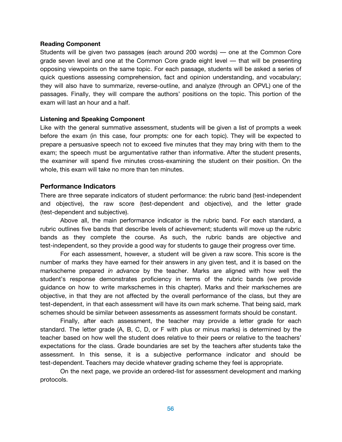#### **Reading Component**

Students will be given two passages (each around 200 words) –– one at the Common Core grade seven level and one at the Common Core grade eight level –– that will be presenting opposing viewpoints on the same topic. For each passage, students will be asked a series of quick questions assessing comprehension, fact and opinion understanding, and vocabulary; they will also have to summarize, reverse-outline, and analyze (through an OPVL) one of the passages. Finally, they will compare the authors' positions on the topic. This portion of the exam will last an hour and a half.

#### **Listening and Speaking Component**

Like with the general summative assessment, students will be given a list of prompts a week before the exam (in this case, four prompts: one for each topic). They will be expected to prepare a persuasive speech not to exceed five minutes that they may bring with them to the exam; the speech must be argumentative rather than informative. After the student presents, the examiner will spend five minutes cross-examining the student on their position. On the whole, this exam will take no more than ten minutes.

#### **Performance Indicators**

There are three separate indicators of student performance: the rubric band (test-independent and objective), the raw score (test-dependent and objective), and the letter grade (test-dependent and subjective).

Above all, the main performance indicator is the rubric band. For each standard, a rubric outlines five bands that describe levels of achievement; students will move up the rubric bands as they complete the course. As such, the rubric bands are objective and test-independent, so they provide a good way for students to gauge their progress over time.

For each assessment, however, a student will be given a raw score. This score is the number of marks they have earned for their answers in any given test, and it is based on the markscheme prepared *in advance* by the teacher. Marks are aligned with how well the student's response demonstrates proficiency in terms of the rubric bands (we provide guidance on how to write markschemes in this chapter). Marks and their markschemes are objective, in that they are not affected by the overall performance of the class, but they are test-dependent, in that each assessment will have its own mark scheme. That being said, mark schemes should be similar between assessments as assessment formats should be constant.

Finally, after each assessment, the teacher may provide a letter grade for each standard. The letter grade (A, B, C, D, or F with plus or minus marks) is determined by the teacher based on how well the student does relative to their peers or relative to the teachers' expectations for the class. Grade boundaries are set by the teachers after students take the assessment. In this sense, it is a subjective performance indicator and should be test-dependent. Teachers may decide whatever grading scheme they feel is appropriate.

On the next page, we provide an ordered-list for assessment development and marking protocols.